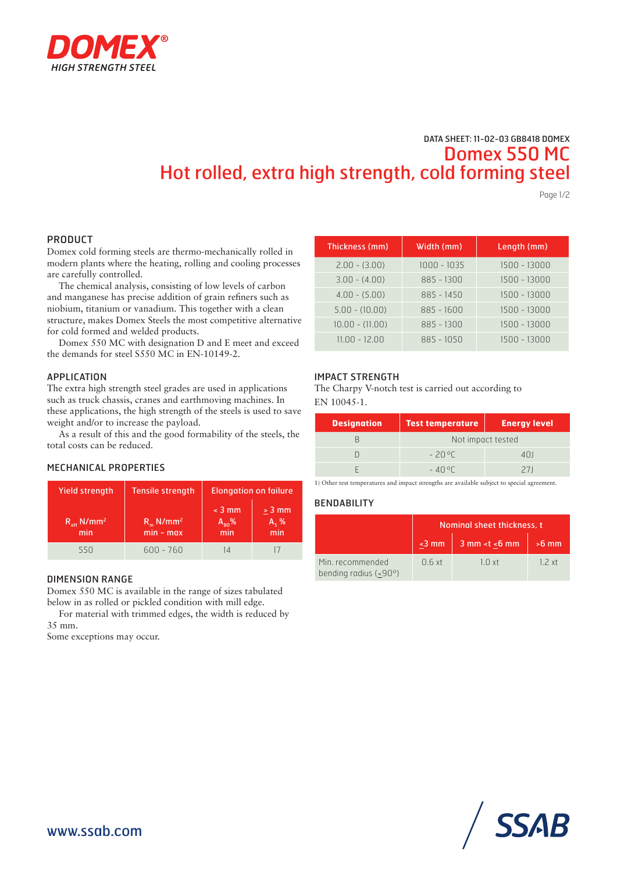

# DATA SHEET: 11-02-03 GB8418 DOMEX Domex 550 MC Hot rolled, extra high strength, cold forming steel

Page 1/2

### PRODUCT

Domex cold forming steels are thermo-mechanically rolled in modern plants where the heating, rolling and cooling processes are carefully controlled.

The chemical analysis, consisting of low levels of carbon and manganese has precise addition of grain refiners such as niobium, titanium or vanadium. This together with a clean structure, makes Domex Steels the most competitive alternative for cold formed and welded products.

Domex 550 MC with designation D and E meet and exceed the demands for steel S550 MC in EN-10149-2.

### APPLICATION

The extra high strength steel grades are used in applications such as truck chassis, cranes and earthmoving machines. In these applications, the high strength of the steels is used to save weight and/or to increase the payload.

As a result of this and the good formability of the steels, the total costs can be reduced.

### MECHANICAL PROPERTIES

| <b>Yield strength</b>              | <b>Tensile strength</b>                      | <b>Elongation on failure</b>  |                            |  |
|------------------------------------|----------------------------------------------|-------------------------------|----------------------------|--|
| $R_{\mu}$ N/mm <sup>2</sup><br>min | $R_{\dots}$ N/mm <sup>2</sup><br>$min - max$ | $<$ 3 mm<br>$A_{80}$ %<br>min | $> 3$ mm<br>$A_5$ %<br>min |  |
| 550                                | $600 - 760$                                  | 14                            |                            |  |

#### DIMENSION RANGE

Domex 550 MC is available in the range of sizes tabulated below in as rolled or pickled condition with mill edge.

For material with trimmed edges, the width is reduced by 35 mm.

Some exceptions may occur.

| Thickness (mm)    | Width (mm)   | Length (mm)  |
|-------------------|--------------|--------------|
| $2.00 - (3.00)$   | 1000 - 1035  | 1500 - 13000 |
| $3.00 - (4.00)$   | 885 - 1300   | 1500 - 13000 |
| $4.00 - (5.00)$   | $885 - 1450$ | 1500 - 13000 |
| $5.00 - (10.00)$  | $885 - 1600$ | 1500 - 13000 |
| $10.00 - (11.00)$ | 885 - 1300   | 1500 - 13000 |
| $11.00 - 12.00$   | $885 - 1050$ | 1500 - 13000 |

### IMPACT STRENGTH

The Charpy V-notch test is carried out according to EN 10045-1.

| <b>Designation</b> | <b>Test temperature</b> | <b>Energy level</b> |  |  |
|--------------------|-------------------------|---------------------|--|--|
|                    | Not impact tested       |                     |  |  |
|                    | -2006                   | 401                 |  |  |
|                    | $-40^{\circ}$ (         | 211                 |  |  |

1) Other test temperatures and impact strengths are available subject to special agreement.

### **BENDABILITY**

|                                           | Nominal sheet thickness, t |                                                                 |         |  |
|-------------------------------------------|----------------------------|-----------------------------------------------------------------|---------|--|
|                                           | $<$ 3 mm                   | $3$ mm <t <6="" mm<="" th=""><th><math>&gt;6</math> mm</th></t> | $>6$ mm |  |
| Min. recommended<br>bending radius (<90°) | 0.6xt                      | $1 \cap xt$                                                     | 12xt    |  |